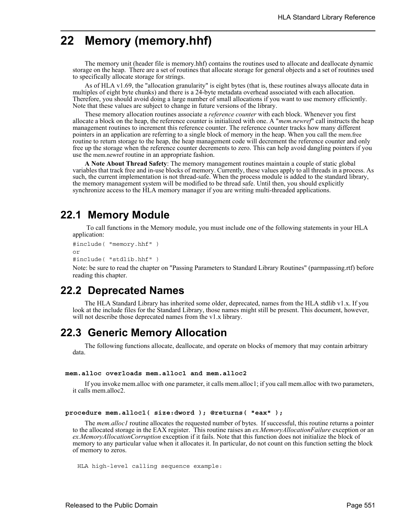# **22 Memory (memory.hhf)**

The memory unit (header file is memory.hhf) contains the routines used to allocate and deallocate dynamic storage on the heap. There are a set of routines that allocate storage for general objects and a set of routines used to specifically allocate storage for strings.

As of HLA v1.69, the "allocation granularity" is eight bytes (that is, these routines always allocate data in multiples of eight byte chunks) and there is a 24-byte metadata overhead associated with each allocation. Therefore, you should avoid doing a large number of small allocations if you want to use memory efficiently. Note that these values are subject to change in future versions of the library.

These memory allocation routines associate a *reference counter* with each block. Whenever you first allocate a block on the heap, the reference counter is initialized with one. A "*mem.newref*" call instructs the heap management routines to increment this reference counter. The reference counter tracks how many different pointers in an application are referring to a single block of memory in the heap. When you call the mem.free routine to return storage to the heap, the heap management code will decrement the reference counter and only free up the storage when the reference counter decrements to zero. This can help avoid dangling pointers if you use the mem.newref routine in an appropriate fashion.

**A Note About Thread Safety**: The memory management routines maintain a couple of static global variables that track free and in-use blocks of memory. Currently, these values apply to all threads in a process. As such, the current implementation is not thread-safe. When the process module is added to the standard library, the memory management system will be modified to be thread safe. Until then, you should explicitly synchronize access to the HLA memory manager if you are writing multi-threaded applications.

## **22.1 Memory Module**

 To call functions in the Memory module, you must include one of the following statements in your HLA application:

```
#include( "memory.hhf" )
or
```

```
#include( "stdlib.hhf" )
```
Note: be sure to read the chapter on "Passing Parameters to Standard Library Routines" (parmpassing.rtf) before reading this chapter.

# **22.2 Deprecated Names**

The HLA Standard Library has inherited some older, deprecated, names from the HLA stdlib v1.x. If you look at the include files for the Standard Library, those names might still be present. This document, however, will not describe those deprecated names from the v1.x library.

## **22.3 Generic Memory Allocation**

The following functions allocate, deallocate, and operate on blocks of memory that may contain arbitrary data.

#### **mem.alloc overloads mem.alloc1 and mem.alloc2**

If you invoke mem.alloc with one parameter, it calls mem.alloc1; if you call mem.alloc with two parameters, it calls mem.alloc2.

#### **procedure mem.alloc1( size:dword ); @returns( "eax" );**

The *mem.alloc1* routine allocates the requested number of bytes. If successful, this routine returns a pointer to the allocated storage in the EAX register. This routine raises an *ex.MemoryAllocationFailure* exception or an *ex.MemoryAllocationCorruption* exception if it fails. Note that this function does not initialize the block of memory to any particular value when it allocates it. In particular, do not count on this function setting the block of memory to zeros.

```
HLA high-level calling sequence example:
```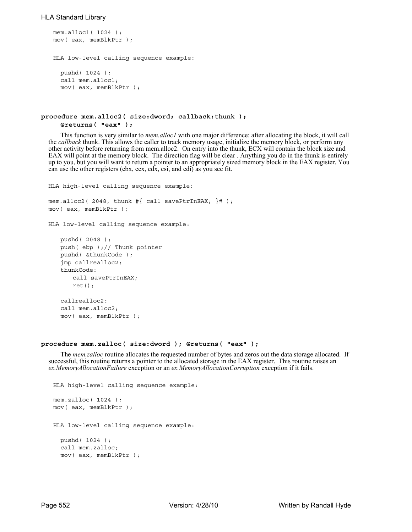```
mem.alloc1( 1024 );
mov( eax, memBlkPtr );
HLA low-level calling sequence example:
 pushd( 1024 );
 call mem.alloc1;
 mov( eax, memBlkPtr );
```

```
procedure mem.alloc2( size:dword; callback:thunk );
     @returns( "eax" );
```
This function is very similar to *mem.alloc1* with one major difference: after allocating the block, it will call the *callback* thunk. This allows the caller to track memory usage, initialize the memory block, or perform any other activity before returning from mem.alloc2. On entry into the thunk, ECX will contain the block size and EAX will point at the memory block. The direction flag will be clear . Anything you do in the thunk is entirely up to you, but you will want to return a pointer to an appropriately sized memory block in the EAX register. You can use the other registers (ebx, ecx, edx, esi, and edi) as you see fit.

```
HLA high-level calling sequence example:
mem.alloc2( 2048, thunk \#\{ call savePtrInEAX; \}# );
mov( eax, memBlkPtr );
HLA low-level calling sequence example:
   pushd( 2048 );
   push( ebp );// Thunk pointer
   pushd( &thunkCode );
   jmp callrealloc2;
   thunkCode:
      call savePtrInEAX;
      ret();
```

```
callrealloc2:
call mem.alloc2;
mov( eax, memBlkPtr );
```
#### **procedure mem.zalloc( size:dword ); @returns( "eax" );**

The *mem.zalloc* routine allocates the requested number of bytes and zeros out the data storage allocated. If successful, this routine returns a pointer to the allocated storage in the EAX register. This routine raises an *ex.MemoryAllocationFailure* exception or an *ex.MemoryAllocationCorruption* exception if it fails.

```
HLA high-level calling sequence example:
mem.zalloc( 1024 );
mov( eax, memBlkPtr );
HLA low-level calling sequence example:
  pushd( 1024 );
 call mem.zalloc;
 mov( eax, memBlkPtr );
```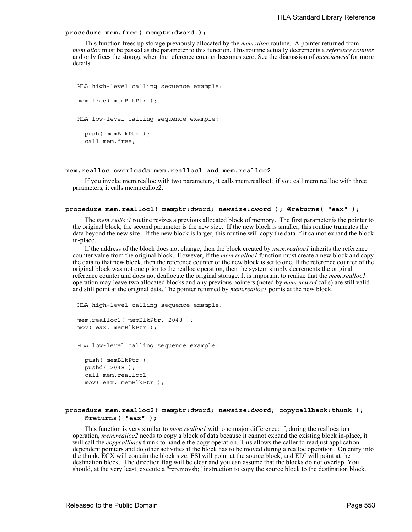### **procedure mem.free( memptr:dword );**

This function frees up storage previously allocated by the *mem.alloc* routine. A pointer returned from *mem.alloc* must be passed as the parameter to this function. This routine actually decrements a *reference counter* and only frees the storage when the reference counter becomes zero. See the discussion of *mem.newref* for more details.

```
HLA high-level calling sequence example:
mem.free( memBlkPtr );
HLA low-level calling sequence example:
  push( memBlkPtr );
  call mem.free;
```
## **mem.realloc overloads mem.realloc1 and mem.realloc2**

If you invoke mem.realloc with two parameters, it calls mem.realloc1; if you call mem.realloc with three parameters, it calls mem.realloc2.

### **procedure mem.realloc1( memptr:dword; newsize:dword ); @returns( "eax" );**

The *mem.realloc1* routine resizes a previous allocated block of memory. The first parameter is the pointer to the original block, the second parameter is the new size. If the new block is smaller, this routine truncates the data beyond the new size. If the new block is larger, this routine will copy the data if it cannot expand the block in-place.

If the address of the block does not change, then the block created by *mem.realloc1* inherits the reference counter value from the original block. However, if the *mem.realloc1* function must create a new block and copy the data to that new block, then the reference counter of the new block is set to one. If the reference counter of the original block was not one prior to the realloc operation, then the system simply decrements the original reference counter and does not deallocate the original storage. It is important to realize that the *mem.realloc1* operation may leave two allocated blocks and any previous pointers (noted by *mem.newref* calls) are still valid and still point at the original data. The pointer returned by *mem.realloc1* points at the new block.

```
HLA high-level calling sequence example:
mem.realloc1( memBlkPtr, 2048 );
mov( eax, memBlkPtr );
```
HLA low-level calling sequence example:

push( memBlkPtr ); pushd( 2048 ); call mem.realloc1; mov( eax, memBlkPtr );

## **procedure mem.realloc2( memptr:dword; newsize:dword; copycallback:thunk ); @returns( "eax" );**

This function is very similar to *mem.realloc1* with one major difference: if, during the reallocation operation, *mem.realloc2* needs to copy a block of data because it cannot expand the existing block in-place, it will call the *copycallback* thunk to handle the copy operation. This allows the caller to readjust applicationdependent pointers and do other activities if the block has to be moved during a realloc operation. On entry into the thunk, ECX will contain the block size, ESI will point at the source block, and EDI will point at the destination block. The direction flag will be clear and you can assume that the blocks do not overlap. You should, at the very least, execute a "rep.movsb;" instruction to copy the source block to the destination block.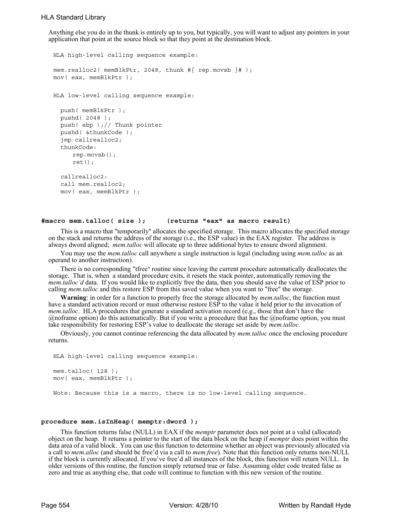Anything else you do in the thunk is entirely up to you, but typically, you will want to adjust any pointers in your application that point at the source block so that they point at the destination block.

```
HLA high-level calling sequence example:
mem.realloc2( memBlkPtr, 2048, thunk #{ rep.movsb }# );
mov( eax, memBlkPtr );
HLA low-level calling sequence example:
  push( memBlkPtr );
  pushd( 2048 );
  push( ebp );// Thunk pointer
  pushd( &thunkCode );
  jmp callrealloc2;
  thunkCode:
     rep.movsb();
     ret();
  callrealloc2:
  call mem.realloc2;
  mov( eax, memBlkPtr );
```
## **#macro mem.talloc( size ); (returns "eax" as macro result)**

This is a macro that "temporarily" allocates the specified storage. This macro allocates the specified storage on the stack and returns the address of the storage (i.e., the ESP value) in the EAX register. The address is always dword aligned; *mem.talloc* will allocate up to three additional bytes to ensure dword alignment.

You may use the *mem.talloc* call anywhere a single instruction is legal (including using *mem.talloc* as an operand to another instruction).

There is no corresponding "tfree" routine since leaving the current procedure automatically deallocates the storage. That is, when a standard procedure exits, it resets the stack pointer, automatically removing the *mem.talloc'd* data. If you would like to explicitly free the data, then you should save the value of ESP prior to calling *mem.talloc* and this restore ESP from this saved value when you want to "free" the storage.

**Warning**: in order for a function to properly free the storage allocated by *mem.talloc*, the function must have a standard activation record or must otherwise restore ESP to the value it held prior to the invocation of *mem.talloc*. HLA procedures that generate a standard activation record (e.g., those that don't have the @noframe option) do this automatically. But if you write a procedure that has the @noframe option, you must take responsibility for restoring ESP's value to deallocate the storage set aside by *mem.talloc*.

Obviously, you cannot continue referencing the data allocated by *mem.talloc* once the enclosing procedure returns.

```
HLA high-level calling sequence example:
mem.talloc(128);
mov( eax, memBlkPtr );
Note: Because this is a macro, there is no low-level calling sequence.
```
#### **procedure mem.isInHeap( memptr:dword );**

This function returns false (NULL) in EAX if the *memptr* parameter does not point at a valid (allocated) object on the heap. It returns a pointer to the start of the data block on the heap if *memptr* does point within the data area of a valid block. You can use this function to determine whether an object was previously allocated via a call to *mem.alloc* (and should be free'd via a call to *mem.free*). Note that this function only returns non-NULL if the block is currently allocated. If you've free'd all instances of the block, this function will return NULL. In older versions of this routine, the function simply returned true or false. Assuming older code treated false as zero and true as anything else, that code will continue to function with this new version of the routine.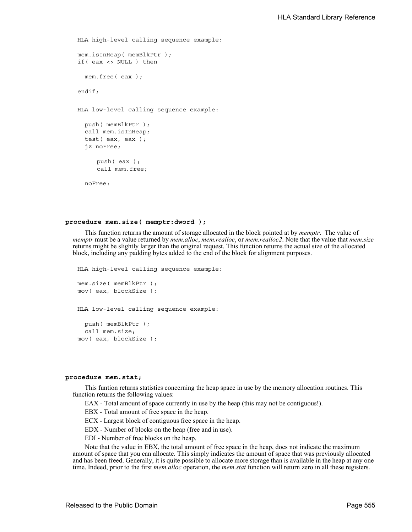```
HLA high-level calling sequence example:
mem.isInHeap( memBlkPtr );
if( eax <> NULL ) then
  mem.free( eax );
endif;
HLA low-level calling sequence example:
  push( memBlkPtr );
  call mem.isInHeap;
  test( eax, eax );
  jz noFree;
     push( eax );
     call mem.free;
  noFree:
```
### **procedure mem.size( memptr:dword );**

This function returns the amount of storage allocated in the block pointed at by *memptr*. The value of *memptr* must be a value returned by *mem.alloc*, *mem.realloc*, or *mem.realloc2*. Note that the value that *mem.size* returns might be slightly larger than the original request. This function returns the actual size of the allocated block, including any padding bytes added to the end of the block for alignment purposes.

```
HLA high-level calling sequence example:
mem.size( memBlkPtr );
mov( eax, blockSize );
HLA low-level calling sequence example:
  push( memBlkPtr );
  call mem.size;
mov( eax, blockSize );
```
#### **procedure mem.stat;**

This funtion returns statistics concerning the heap space in use by the memory allocation routines. This function returns the following values:

EAX - Total amount of space currently in use by the heap (this may not be contiguous!).

EBX - Total amount of free space in the heap.

ECX - Largest block of contiguous free space in the heap.

EDX - Number of blocks on the heap (free and in use).

EDI - Number of free blocks on the heap.

Note that the value in EBX, the total amount of free space in the heap, does not indicate the maximum amount of space that you can allocate. This simply indicates the amount of space that was previously allocated and has been freed. Generally, it is quite possible to allocate more storage than is available in the heap at any one time. Indeed, prior to the first *mem.alloc* operation, the *mem.stat* function will return zero in all these registers.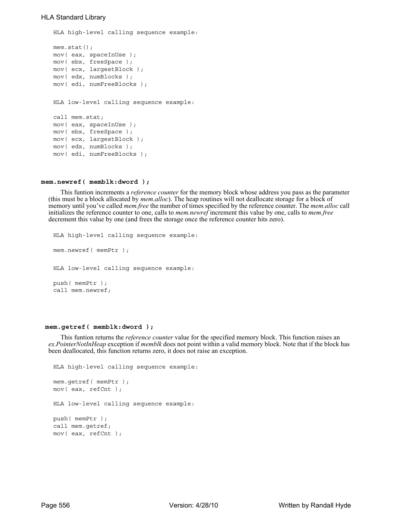```
HLA high-level calling sequence example:
mem.stat();
mov( eax, spaceInUse );
mov( ebx, freeSpace );
mov( ecx, largestBlock );
mov( edx, numBlocks );
mov( edi, numFreeBlocks );
HLA low-level calling sequence example:
call mem.stat;
mov( eax, spaceInUse );
mov( ebx, freeSpace );
mov( ecx, largestBlock );
mov( edx, numBlocks );
mov( edi, numFreeBlocks );
```
### **mem.newref( memblk:dword );**

This funtion increments a *reference counter* for the memory block whose address you pass as the parameter (this must be a block allocated by *mem.alloc*). The heap routines will not deallocate storage for a block of memory until you've called *mem.free* the number of times specified by the reference counter. The *mem.alloc* call initializes the reference counter to one, calls to *mem.newref* increment this value by one, calls to *mem.free* decrement this value by one (and frees the storage once the reference counter hits zero).

```
HLA high-level calling sequence example:
mem.newref( memPtr );
HLA low-level calling sequence example:
push( memPtr );
call mem.newref;
```
## **mem.getref( memblk:dword );**

This funtion returns the *reference counter* value for the specified memory block. This function raises an *ex.PointerNotInHeap* exception if *memblk* does not point within a valid memory block. Note that if the block has been deallocated, this function returns zero, it does not raise an exception.

```
HLA high-level calling sequence example:
mem.getref( memPtr );
mov( eax, refCnt );
HLA low-level calling sequence example:
push( memPtr );
call mem.getref;
mov( eax, refCnt );
```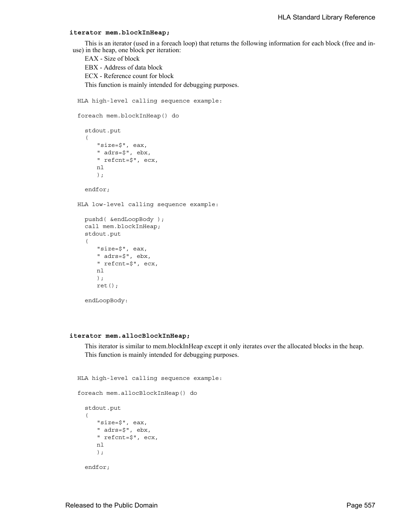## **iterator mem.blockInHeap;**

This is an iterator (used in a foreach loop) that returns the following information for each block (free and inuse) in the heap, one block per iteration:

```
EAX - Size of block
  EBX - Address of data block
  ECX - Reference count for block
  This function is mainly intended for debugging purposes.
HLA high-level calling sequence example:
foreach mem.blockInHeap() do
  stdout.put
  ( 
      "size=$", eax, 
      " adrs=$", ebx, 
      " refcnt=$", ecx, 
      nl 
      );
  endfor;
HLA low-level calling sequence example:
  pushd( &endLoopBody );
  call mem.blockInHeap;
  stdout.put
  ( 
      "size=$", eax, 
      " adrs=$", ebx, 
      " refcnt=$", ecx, 
      nl 
      );
      ret();
```
endLoopBody:

## **iterator mem.allocBlockInHeap;**

This iterator is similar to mem.blockInHeap except it only iterates over the allocated blocks in the heap. This function is mainly intended for debugging purposes.

```
HLA high-level calling sequence example:
```

```
foreach mem.allocBlockInHeap() do
  stdout.put
  ( 
     "size=$", eax, 
     " adrs=$", ebx, 
     " refcnt=$", ecx, 
     nl 
     );
  endfor;
```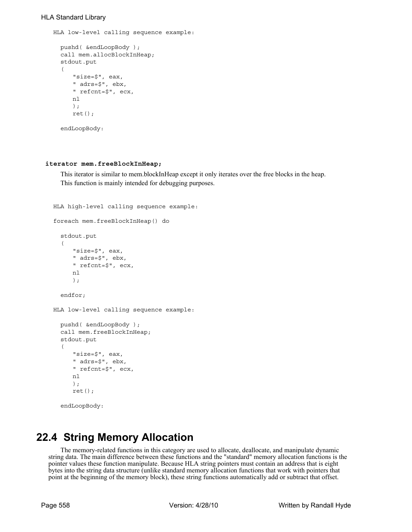```
HLA low-level calling sequence example:
```

```
pushd( &endLoopBody );
call mem.allocBlockInHeap;
stdout.put
( 
   "size=$", eax, 
   " adrs=$", ebx, 
   " refcnt=$", ecx, 
   nl 
   );
   ret();
endLoopBody:
```
## **iterator mem.freeBlockInHeap;**

This iterator is similar to mem.blockInHeap except it only iterates over the free blocks in the heap. This function is mainly intended for debugging purposes.

```
HLA high-level calling sequence example:
foreach mem.freeBlockInHeap() do
  stdout.put
  ( 
     "size=$", eax, 
     " adrs=$", ebx, 
     " refcnt=$", ecx, 
     nl 
     );
  endfor;
HLA low-level calling sequence example:
  pushd( &endLoopBody );
  call mem.freeBlockInHeap;
  stdout.put
  ( 
     "size=$", eax, 
     " adrs=$", ebx, 
     " refcnt=$", ecx, 
     nl 
     );
     ret();
  endLoopBody:
```
# **22.4 String Memory Allocation**

The memory-related functions in this category are used to allocate, deallocate, and manipulate dynamic string data. The main difference between these functions and the "standard" memory allocation functions is the pointer values these function manipulate. Because HLA string pointers must contain an address that is eight bytes into the string data structure (unlike standard memory allocation functions that work with pointers that point at the beginning of the memory block), these string functions automatically add or subtract that offset.